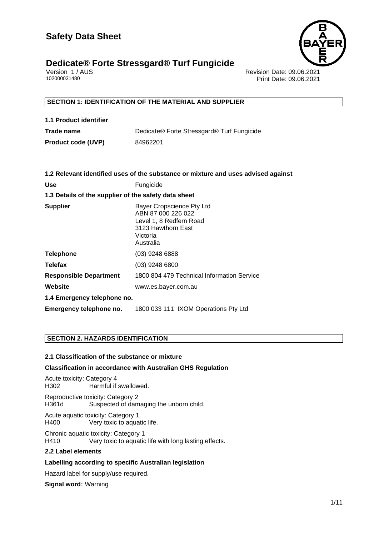

# **Dedicate® Forte Stressgard® Turf Fungicide**

Version 1 / AUS Revision Date: 09.06.2021 Print Date: 09.06.2021

### **SECTION 1: IDENTIFICATION OF THE MATERIAL AND SUPPLIER**

| 1.1 Product identifier    |                                            |
|---------------------------|--------------------------------------------|
| Trade name                | Dedicate® Forte Stressgard® Turf Fungicide |
| <b>Product code (UVP)</b> | 84962201                                   |

|                                                      | 1.2 Relevant identified uses of the substance or mixture and uses advised against                                         |  |
|------------------------------------------------------|---------------------------------------------------------------------------------------------------------------------------|--|
| <b>Use</b>                                           | Fungicide                                                                                                                 |  |
| 1.3 Details of the supplier of the safety data sheet |                                                                                                                           |  |
| <b>Supplier</b>                                      | Bayer Cropscience Pty Ltd<br>ABN 87 000 226 022<br>Level 1, 8 Redfern Road<br>3123 Hawthorn East<br>Victoria<br>Australia |  |
| <b>Telephone</b>                                     | $(03)$ 9248 6888                                                                                                          |  |
| <b>Telefax</b>                                       | (03) 9248 6800                                                                                                            |  |
| <b>Responsible Department</b>                        | 1800 804 479 Technical Information Service                                                                                |  |
| Website                                              | www.es.bayer.com.au                                                                                                       |  |
| 1.4 Emergency telephone no.                          |                                                                                                                           |  |
| Emergency telephone no.                              | 1800 033 111 IXOM Operations Pty Ltd                                                                                      |  |

#### **SECTION 2. HAZARDS IDENTIFICATION**

#### **2.1 Classification of the substance or mixture**

#### **Classification in accordance with Australian GHS Regulation**

Acute toxicity: Category 4 H302 Harmful if swallowed. Reproductive toxicity: Category 2 H361d Suspected of damaging the unborn child. Acute aquatic toxicity: Category 1<br>H400 Very toxic to aqua Very toxic to aquatic life.

Chronic aquatic toxicity: Category 1 H410 Very toxic to aquatic life with long lasting effects.

#### **2.2 Label elements**

#### **Labelling according to specific Australian legislation**

Hazard label for supply/use required.

**Signal word:** Warning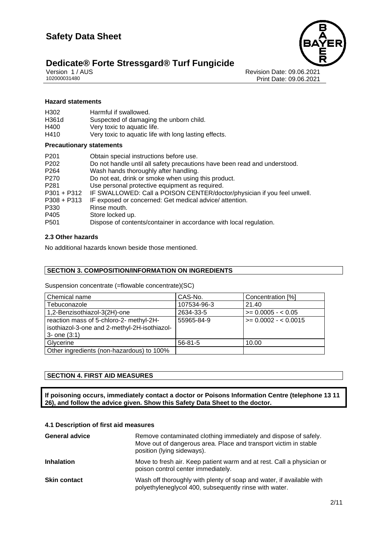

# Dedicate® Forte Stressgard® Turf Fungicide<br>
102000031480<br>
102000031480

Revision Date: 09.06.2021 Print Date: 09.06.2021

#### **Hazard statements**

| H <sub>302</sub> | Harmful if swallowed.                                 |
|------------------|-------------------------------------------------------|
| H361d            | Suspected of damaging the unborn child.               |
| H400             | Very toxic to aquatic life.                           |
| H410             | Very toxic to aquatic life with long lasting effects. |

#### **Precautionary statements**

| P <sub>201</sub><br>P <sub>202</sub><br>P <sub>264</sub><br>P <sub>270</sub><br>P <sub>281</sub><br>$P301 + P312$<br>P308 + P313<br>P330 | Obtain special instructions before use.<br>Do not handle until all safety precautions have been read and understood.<br>Wash hands thoroughly after handling.<br>Do not eat, drink or smoke when using this product.<br>Use personal protective equipment as required.<br>IF SWALLOWED: Call a POISON CENTER/doctor/physician if you feel unwell.<br>IF exposed or concerned: Get medical advice/attention.<br>Rinse mouth. |
|------------------------------------------------------------------------------------------------------------------------------------------|-----------------------------------------------------------------------------------------------------------------------------------------------------------------------------------------------------------------------------------------------------------------------------------------------------------------------------------------------------------------------------------------------------------------------------|
| P405                                                                                                                                     | Store locked up.                                                                                                                                                                                                                                                                                                                                                                                                            |
| P <sub>501</sub>                                                                                                                         | Dispose of contents/container in accordance with local regulation.                                                                                                                                                                                                                                                                                                                                                          |

#### **2.3 Other hazards**

No additional hazards known beside those mentioned.

#### **SECTION 3. COMPOSITION/INFORMATION ON INGREDIENTS**

Suspension concentrate (=flowable concentrate)(SC)

| Chemical name                                | CAS-No.       | Concentration [%]    |
|----------------------------------------------|---------------|----------------------|
| Tebuconazole                                 | 107534-96-3   | 21.40                |
| 1,2-Benzisothiazol-3(2H)-one                 | 2634-33-5     | $>= 0.0005 - 0.05$   |
| reaction mass of 5-chloro-2- methyl-2H-      | 55965-84-9    | $>= 0.0002 - 0.0015$ |
| isothiazol-3-one and 2-methyl-2H-isothiazol- |               |                      |
| $3 -$ one $(3:1)$                            |               |                      |
| Glycerine                                    | $56 - 81 - 5$ | 10.00                |
| Other ingredients (non-hazardous) to 100%    |               |                      |

#### **SECTION 4. FIRST AID MEASURES**

**If poisoning occurs, immediately contact a doctor or Poisons Information Centre (telephone 13 11 26), and follow the advice given. Show this Safety Data Sheet to the doctor.**

#### **4.1 Description of first aid measures**

| <b>General advice</b> | Remove contaminated clothing immediately and dispose of safely.<br>Move out of dangerous area. Place and transport victim in stable<br>position (lying sideways). |
|-----------------------|-------------------------------------------------------------------------------------------------------------------------------------------------------------------|
| <b>Inhalation</b>     | Move to fresh air. Keep patient warm and at rest. Call a physician or<br>poison control center immediately.                                                       |
| <b>Skin contact</b>   | Wash off thoroughly with plenty of soap and water, if available with<br>polyethyleneglycol 400, subsequently rinse with water.                                    |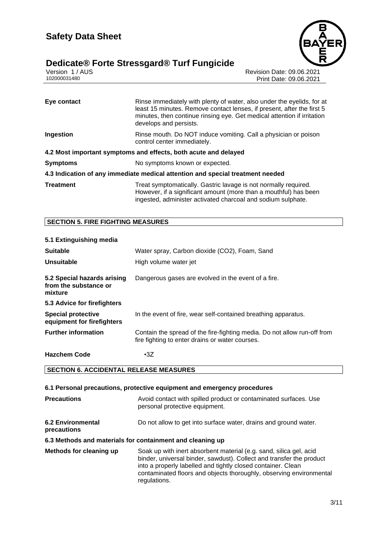# **Dedicate® Forte Stressgard® Turf Fungicide 3/11**





Version 1 / AUS Revision Date: 09.06.2021 Print Date: 09.06.2021

| Eye contact      | Rinse immediately with plenty of water, also under the eyelids, for at<br>least 15 minutes. Remove contact lenses, if present, after the first 5<br>minutes, then continue rinsing eye. Get medical attention if irritation<br>develops and persists. |
|------------------|-------------------------------------------------------------------------------------------------------------------------------------------------------------------------------------------------------------------------------------------------------|
| Ingestion        | Rinse mouth. Do NOT induce vomiting. Call a physician or poison<br>control center immediately.                                                                                                                                                        |
|                  | 4.2 Most important symptoms and effects, both acute and delayed                                                                                                                                                                                       |
| <b>Symptoms</b>  | No symptoms known or expected.                                                                                                                                                                                                                        |
|                  | 4.3 Indication of any immediate medical attention and special treatment needed                                                                                                                                                                        |
| <b>Treatment</b> | Treat symptomatically. Gastric lavage is not normally required.<br>However, if a significant amount (more than a mouthful) has been<br>ingested, administer activated charcoal and sodium sulphate.                                                   |

#### **SECTION 5. FIRE FIGHTING MEASURES**

### **5.1 Extinguishing media Suitable** Water spray, Carbon dioxide (CO2), Foam, Sand **Unsuitable** High volume water jet **5.2 Special hazards arising from the substance or mixture** Dangerous gases are evolved in the event of a fire. **5.3 Advice for firefighters Special protective equipment for firefighters** In the event of fire, wear self-contained breathing apparatus. **Further information** Contain the spread of the fire-fighting media. Do not allow run-off from fire fighting to enter drains or water courses. **Hazchem Code** •3Z

#### **SECTION 6. ACCIDENTAL RELEASE MEASURES**

#### **6.1 Personal precautions, protective equipment and emergency procedures Precautions Avoid contact with spilled product or contaminated surfaces. Use** personal protective equipment. **6.2 Environmental precautions** Do not allow to get into surface water, drains and ground water. **6.3 Methods and materials for containment and cleaning up Methods for cleaning up** Soak up with inert absorbent material (e.g. sand, silica gel, acid binder, universal binder, sawdust). Collect and transfer the product into a properly labelled and tightly closed container. Clean contaminated floors and objects thoroughly, observing environmental regulations.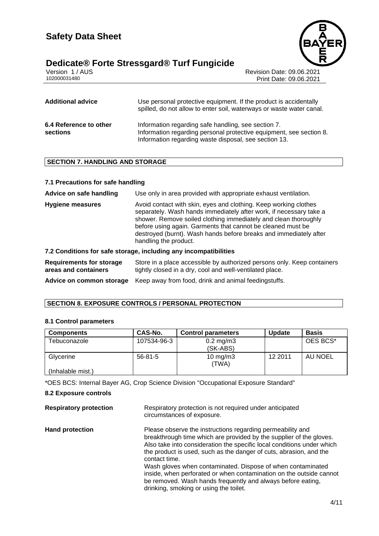# **Dedicate® Forte Stressgard® Turf Fungicide 4/11**



Version 1 / AUS Revision Date: 09.06.2021 Print Date: 09.06.2021

| <b>Additional advice</b>           | Use personal protective equipment. If the product is accidentally<br>spilled, do not allow to enter soil, waterways or waste water canal.                                           |
|------------------------------------|-------------------------------------------------------------------------------------------------------------------------------------------------------------------------------------|
| 6.4 Reference to other<br>sections | Information regarding safe handling, see section 7.<br>Information regarding personal protective equipment, see section 8.<br>Information regarding waste disposal, see section 13. |

#### **SECTION 7. HANDLING AND STORAGE**

#### **7.1 Precautions for safe handling**

**Advice on safe handling** Use only in area provided with appropriate exhaust ventilation.

**Hygiene measures** Avoid contact with skin, eyes and clothing. Keep working clothes separately. Wash hands immediately after work, if necessary take a shower. Remove soiled clothing immediately and clean thoroughly before using again. Garments that cannot be cleaned must be destroyed (burnt). Wash hands before breaks and immediately after handling the product.

#### **7.2 Conditions for safe storage, including any incompatibilities**

**Requirements for storage areas and containers** Store in a place accessible by authorized persons only. Keep containers tightly closed in a dry, cool and well-ventilated place.

**Advice on common storage** Keep away from food, drink and animal feedingstuffs.

#### **SECTION 8. EXPOSURE CONTROLS / PERSONAL PROTECTION**

#### **8.1 Control parameters**

| <b>Components</b> | CAS-No.     | <b>Control parameters</b> | <b>Update</b> | <b>Basis</b> |
|-------------------|-------------|---------------------------|---------------|--------------|
| Tebuconazole      | 107534-96-3 | $0.2 \text{ mg/m}$ 3      |               | OES BCS*     |
|                   |             | (SK-ABS)                  |               |              |
| Glycerine         | $56-81-5$   | $10 \text{ mg/m}$ 3       | 12 2011       | AU NOEL      |
|                   |             | (TWA)                     |               |              |
| (Inhalable mist.) |             |                           |               |              |

\*OES BCS: Internal Bayer AG, Crop Science Division "Occupational Exposure Standard"

#### **8.2 Exposure controls**

| <b>Respiratory protection</b> | Respiratory protection is not required under anticipated<br>circumstances of exposure.                                                                                                                                                                                                                                                                            |
|-------------------------------|-------------------------------------------------------------------------------------------------------------------------------------------------------------------------------------------------------------------------------------------------------------------------------------------------------------------------------------------------------------------|
| <b>Hand protection</b>        | Please observe the instructions regarding permeability and<br>breakthrough time which are provided by the supplier of the gloves.<br>Also take into consideration the specific local conditions under which<br>the product is used, such as the danger of cuts, abrasion, and the<br>contact time.<br>Wash gloves when contaminated. Dispose of when contaminated |
|                               | inside, when perforated or when contamination on the outside cannot<br>be removed. Wash hands frequently and always before eating,<br>drinking, smoking or using the toilet.                                                                                                                                                                                      |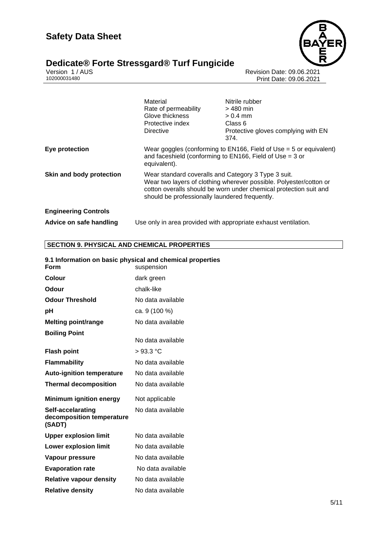# **Dedicate® Forte Stressgard® Turf Fungicide**  $\blacksquare$



Version 1 / AUS Revision Date: 09.06.2021 102000031480 Print Date: 09.06.2021

|                             | Material<br>Rate of permeability<br>Glove thickness<br>Protective index<br>Directive                                                                                                                                                             | Nitrile rubber<br>$>$ 480 min<br>$> 0.4$ mm<br>Class 6<br>Protective gloves complying with EN<br>374. |
|-----------------------------|--------------------------------------------------------------------------------------------------------------------------------------------------------------------------------------------------------------------------------------------------|-------------------------------------------------------------------------------------------------------|
| Eye protection              | Wear goggles (conforming to $EN166$ , Field of Use = 5 or equivalent)<br>and faceshield (conforming to $EN166$ , Field of Use = 3 or<br>equivalent).                                                                                             |                                                                                                       |
| Skin and body protection    | Wear standard coveralls and Category 3 Type 3 suit.<br>Wear two layers of clothing wherever possible. Polyester/cotton or<br>cotton overalls should be worn under chemical protection suit and<br>should be professionally laundered frequently. |                                                                                                       |
| <b>Engineering Controls</b> |                                                                                                                                                                                                                                                  |                                                                                                       |
| Advice on safe handling     | Use only in area provided with appropriate exhaust ventilation.                                                                                                                                                                                  |                                                                                                       |

# **SECTION 9. PHYSICAL AND CHEMICAL PROPERTIES**

| Form                                                     | 9.1 Information on basic physical and chemical properties<br>suspension |
|----------------------------------------------------------|-------------------------------------------------------------------------|
| <b>Colour</b>                                            | dark green                                                              |
| Odour                                                    | chalk-like                                                              |
| <b>Odour Threshold</b>                                   | No data available                                                       |
| рH                                                       | ca. 9 (100 %)                                                           |
| <b>Melting point/range</b>                               | No data available                                                       |
| <b>Boiling Point</b>                                     | No data available                                                       |
| <b>Flash point</b>                                       | $>93.3$ °C                                                              |
| <b>Flammability</b>                                      | No data available                                                       |
| <b>Auto-ignition temperature</b>                         | No data available                                                       |
| <b>Thermal decomposition</b>                             | No data available                                                       |
| <b>Minimum ignition energy</b>                           | Not applicable                                                          |
| Self-accelarating<br>decomposition temperature<br>(SADT) | No data available                                                       |
| <b>Upper explosion limit</b>                             | No data available                                                       |
| <b>Lower explosion limit</b>                             | No data available                                                       |
| Vapour pressure                                          | No data available                                                       |
| <b>Evaporation rate</b>                                  | No data available                                                       |
| <b>Relative vapour density</b>                           | No data available                                                       |
| <b>Relative density</b>                                  | No data available                                                       |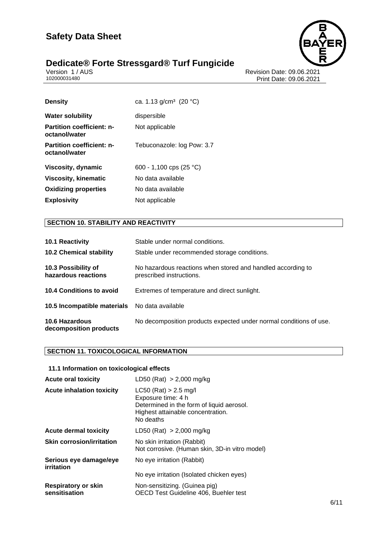# **Dedicate® Forte Stressgard® Turf Fungicide 6/11**





Version 1 / AUS Revision Date: 09.06.2021 102000031480 Print Date: 09.06.2021

| <b>Density</b>                                    | ca. 1.13 $g/cm^3$ (20 °C)  |
|---------------------------------------------------|----------------------------|
| <b>Water solubility</b>                           | dispersible                |
| <b>Partition coefficient: n-</b><br>octanol/water | Not applicable             |
| <b>Partition coefficient: n-</b><br>octanol/water | Tebuconazole: log Pow: 3.7 |
| Viscosity, dynamic                                | 600 - 1,100 cps (25 °C)    |
| <b>Viscosity, kinematic</b>                       | No data available          |
| <b>Oxidizing properties</b>                       | No data available          |
| <b>Explosivity</b>                                | Not applicable             |

# **SECTION 10. STABILITY AND REACTIVITY**

| <b>10.1 Reactivity</b><br><b>10.2 Chemical stability</b> | Stable under normal conditions.<br>Stable under recommended storage conditions.         |
|----------------------------------------------------------|-----------------------------------------------------------------------------------------|
|                                                          |                                                                                         |
| 10.3 Possibility of<br>hazardous reactions               | No hazardous reactions when stored and handled according to<br>prescribed instructions. |
| 10.4 Conditions to avoid                                 | Extremes of temperature and direct sunlight.                                            |
| <b>10.5 Incompatible materials</b> No data available     |                                                                                         |
| <b>10.6 Hazardous</b><br>decomposition products          | No decomposition products expected under normal conditions of use.                      |

### **SECTION 11. TOXICOLOGICAL INFORMATION**

#### **11.1 Information on toxicological effects**

| <b>Acute oral toxicity</b>                  | LD50 (Rat) $> 2,000$ mg/kg                                                                                                                   |
|---------------------------------------------|----------------------------------------------------------------------------------------------------------------------------------------------|
| <b>Acute inhalation toxicity</b>            | $LC50$ (Rat) > 2.5 mg/l<br>Exposure time: 4 h<br>Determined in the form of liquid aerosol.<br>Highest attainable concentration.<br>No deaths |
| <b>Acute dermal toxicity</b>                | LD50 (Rat) $> 2,000$ mg/kg                                                                                                                   |
| <b>Skin corrosion/irritation</b>            | No skin irritation (Rabbit)<br>Not corrosive. (Human skin, 3D-in vitro model)                                                                |
| Serious eye damage/eye<br>irritation        | No eye irritation (Rabbit)                                                                                                                   |
|                                             | No eye irritation (Isolated chicken eyes)                                                                                                    |
| <b>Respiratory or skin</b><br>sensitisation | Non-sensitizing. (Guinea pig)<br>OECD Test Guideline 406, Buehler test                                                                       |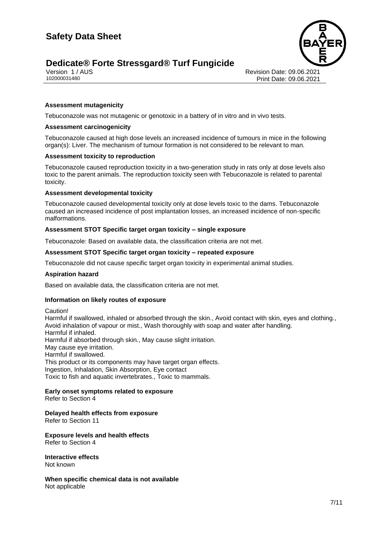# **Dedicate® Forte Stressgard® Turf Fungicide**





Version 1 / AUS Revision Date: 09.06.2021 Print Date: 09.06.2021

#### **Assessment mutagenicity**

Tebuconazole was not mutagenic or genotoxic in a battery of in vitro and in vivo tests.

#### **Assessment carcinogenicity**

Tebuconazole caused at high dose levels an increased incidence of tumours in mice in the following organ(s): Liver. The mechanism of tumour formation is not considered to be relevant to man.

#### **Assessment toxicity to reproduction**

Tebuconazole caused reproduction toxicity in a two-generation study in rats only at dose levels also toxic to the parent animals. The reproduction toxicity seen with Tebuconazole is related to parental toxicity.

#### **Assessment developmental toxicity**

Tebuconazole caused developmental toxicity only at dose levels toxic to the dams. Tebuconazole caused an increased incidence of post implantation losses, an increased incidence of non-specific malformations.

#### **Assessment STOT Specific target organ toxicity – single exposure**

Tebuconazole: Based on available data, the classification criteria are not met.

#### **Assessment STOT Specific target organ toxicity – repeated exposure**

Tebuconazole did not cause specific target organ toxicity in experimental animal studies.

#### **Aspiration hazard**

Based on available data, the classification criteria are not met.

#### **Information on likely routes of exposure**

Caution! Harmful if swallowed, inhaled or absorbed through the skin., Avoid contact with skin, eyes and clothing., Avoid inhalation of vapour or mist., Wash thoroughly with soap and water after handling. Harmful if inhaled. Harmful if absorbed through skin., May cause slight irritation. May cause eye irritation. Harmful if swallowed. This product or its components may have target organ effects. Ingestion, Inhalation, Skin Absorption, Eye contact Toxic to fish and aquatic invertebrates., Toxic to mammals.

# **Early onset symptoms related to exposure**

Refer to Section 4

### **Delayed health effects from exposure**

Refer to Section 11

**Exposure levels and health effects** Refer to Section 4

**Interactive effects** Not known

**When specific chemical data is not available** Not applicable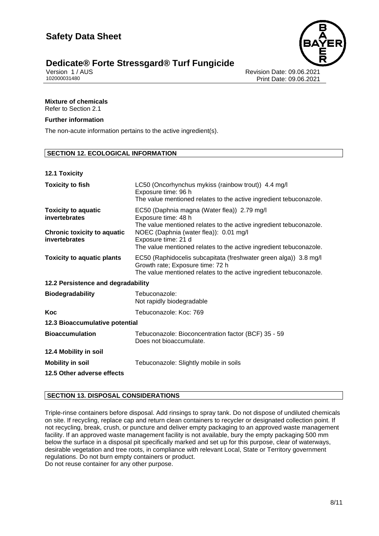

# **Dedicate® Forte Stressgard® Turf Fungicide 8/11**

Version 1 / AUS Revision Date: 09.06.2021 Print Date: 09.06.2021

# **Mixture of chemicals**

Refer to Section 2.1

#### **Further information**

The non-acute information pertains to the active ingredient(s).

#### **SECTION 12. ECOLOGICAL INFORMATION**

#### **12.1 Toxicity**

| <b>Toxicity to fish</b>                                                           | LC50 (Oncorhynchus mykiss (rainbow trout)) 4.4 mg/l<br>Exposure time: 96 h<br>The value mentioned relates to the active ingredient tebuconazole.                                   |  |
|-----------------------------------------------------------------------------------|------------------------------------------------------------------------------------------------------------------------------------------------------------------------------------|--|
| <b>Toxicity to aquatic</b><br>invertebrates<br><b>Chronic toxicity to aquatic</b> | EC50 (Daphnia magna (Water flea)) 2.79 mg/l<br>Exposure time: 48 h<br>The value mentioned relates to the active ingredient tebuconazole.<br>NOEC (Daphnia (water flea)): 0.01 mg/l |  |
| invertebrates                                                                     | Exposure time: 21 d<br>The value mentioned relates to the active ingredient tebuconazole.                                                                                          |  |
| <b>Toxicity to aquatic plants</b>                                                 | EC50 (Raphidocelis subcapitata (freshwater green alga)) 3.8 mg/l<br>Growth rate; Exposure time: 72 h<br>The value mentioned relates to the active ingredient tebuconazole.         |  |
| 12.2 Persistence and degradability                                                |                                                                                                                                                                                    |  |
| <b>Biodegradability</b>                                                           | Tebuconazole:<br>Not rapidly biodegradable                                                                                                                                         |  |
| Koc                                                                               | Tebuconazole: Koc: 769                                                                                                                                                             |  |
| 12.3 Bioaccumulative potential                                                    |                                                                                                                                                                                    |  |
| <b>Bioaccumulation</b>                                                            | Tebuconazole: Bioconcentration factor (BCF) 35 - 59<br>Does not bioaccumulate.                                                                                                     |  |
| 12.4 Mobility in soil                                                             |                                                                                                                                                                                    |  |
| <b>Mobility in soil</b>                                                           | Tebuconazole: Slightly mobile in soils                                                                                                                                             |  |
| 12.5 Other adverse effects                                                        |                                                                                                                                                                                    |  |

#### **SECTION 13. DISPOSAL CONSIDERATIONS**

Triple-rinse containers before disposal. Add rinsings to spray tank. Do not dispose of undiluted chemicals on site. If recycling, replace cap and return clean containers to recycler or designated collection point. If not recycling, break, crush, or puncture and deliver empty packaging to an approved waste management facility. If an approved waste management facility is not available, bury the empty packaging 500 mm below the surface in a disposal pit specifically marked and set up for this purpose, clear of waterways, desirable vegetation and tree roots, in compliance with relevant Local, State or Territory government regulations. Do not burn empty containers or product.

Do not reuse container for any other purpose.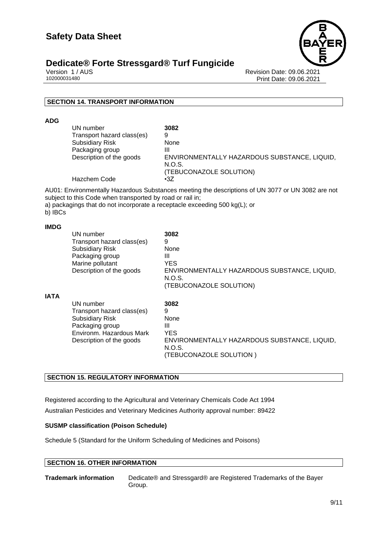

# **Dedicate® Forte Stressgard® Turf Fungicide**

Version 1 / AUS Revision Date: 09.06.2021 Print Date: 09.06.2021

#### **SECTION 14. TRANSPORT INFORMATION**

**ADG**

| UN number                  | 3082                                         |
|----------------------------|----------------------------------------------|
| Transport hazard class(es) | 9                                            |
| <b>Subsidiary Risk</b>     | None                                         |
| Packaging group            | Ш                                            |
| Description of the goods   | ENVIRONMENTALLY HAZARDOUS SUBSTANCE, LIQUID, |
|                            | N.O.S.                                       |
|                            | (TEBUCONAZOLE SOLUTION)                      |
| Hazchem Code               | $\cdot$ 3Z                                   |

AU01: Environmentally Hazardous Substances meeting the descriptions of UN 3077 or UN 3082 are not subject to this Code when transported by road or rail in;

a) packagings that do not incorporate a receptacle exceeding 500 kg(L); or

b) IBCs

#### **IMDG**

|             | UN number<br>Transport hazard class(es)<br><b>Subsidiary Risk</b><br>Packaging group<br>Marine pollutant<br>Description of the goods         | 3082<br>9<br>None<br>Ш<br>YES<br>ENVIRONMENTALLY HAZARDOUS SUBSTANCE, LIQUID,<br>N.O.S.<br>(TEBUCONAZOLE SOLUTION) |
|-------------|----------------------------------------------------------------------------------------------------------------------------------------------|--------------------------------------------------------------------------------------------------------------------|
| <b>IATA</b> | UN number<br>Transport hazard class(es)<br><b>Subsidiary Risk</b><br>Packaging group<br>Environm. Hazardous Mark<br>Description of the goods | 3082<br>9<br>None<br>Ш<br>YES<br>ENVIRONMENTALLY HAZARDOUS SUBSTANCE, LIQUID,<br>N.O.S.<br>(TEBUCONAZOLE SOLUTION) |

#### **SECTION 15. REGULATORY INFORMATION**

Registered according to the Agricultural and Veterinary Chemicals Code Act 1994 Australian Pesticides and Veterinary Medicines Authority approval number: 89422

#### **SUSMP classification (Poison Schedule)**

Schedule 5 (Standard for the Uniform Scheduling of Medicines and Poisons)

#### **SECTION 16. OTHER INFORMATION**

**Trademark information** Dedicate® and Stressgard® are Registered Trademarks of the Bayer Group.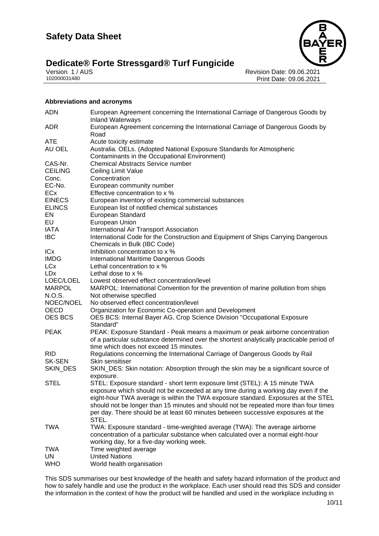# **Dedicate® Forte Stressgard® Turf Fungicide** Version 1/AUS



Version 1 / AUS<br>102000031480<br>Print Date: 09.06.2021<br>Revision Date: 09.06.2021 Print Date: 09.06.2021

#### **Abbreviations and acronyms**

| <b>ADN</b>     | European Agreement concerning the International Carriage of Dangerous Goods by<br><b>Inland Waterways</b>                                                                  |
|----------------|----------------------------------------------------------------------------------------------------------------------------------------------------------------------------|
| <b>ADR</b>     | European Agreement concerning the International Carriage of Dangerous Goods by<br>Road                                                                                     |
| <b>ATE</b>     | Acute toxicity estimate                                                                                                                                                    |
| AU OEL         | Australia. OELs. (Adopted National Exposure Standards for Atmospheric<br>Contaminants in the Occupational Environment)                                                     |
| CAS-Nr.        | <b>Chemical Abstracts Service number</b>                                                                                                                                   |
| <b>CEILING</b> | Ceiling Limit Value                                                                                                                                                        |
| Conc.          | Concentration                                                                                                                                                              |
| EC-No.         | European community number                                                                                                                                                  |
| ECx            | Effective concentration to x %                                                                                                                                             |
| <b>EINECS</b>  | European inventory of existing commercial substances                                                                                                                       |
| <b>ELINCS</b>  | European list of notified chemical substances                                                                                                                              |
| EN             | European Standard                                                                                                                                                          |
| EU             | European Union                                                                                                                                                             |
| <b>IATA</b>    | International Air Transport Association                                                                                                                                    |
| <b>IBC</b>     | International Code for the Construction and Equipment of Ships Carrying Dangerous                                                                                          |
|                | Chemicals in Bulk (IBC Code)                                                                                                                                               |
| ICx            | Inhibition concentration to x %                                                                                                                                            |
| <b>IMDG</b>    | <b>International Maritime Dangerous Goods</b>                                                                                                                              |
| <b>LCx</b>     | Lethal concentration to x %                                                                                                                                                |
| <b>LDx</b>     | Lethal dose to x %                                                                                                                                                         |
| LOEC/LOEL      | Lowest observed effect concentration/level                                                                                                                                 |
| <b>MARPOL</b>  | MARPOL: International Convention for the prevention of marine pollution from ships                                                                                         |
| N.O.S.         | Not otherwise specified                                                                                                                                                    |
| NOEC/NOEL      | No observed effect concentration/level                                                                                                                                     |
| <b>OECD</b>    | Organization for Economic Co-operation and Development                                                                                                                     |
| OES BCS        | OES BCS: Internal Bayer AG, Crop Science Division "Occupational Exposure                                                                                                   |
|                | Standard"                                                                                                                                                                  |
| <b>PEAK</b>    | PEAK: Exposure Standard - Peak means a maximum or peak airborne concentration<br>of a particular substance determined over the shortest analytically practicable period of |
|                | time which does not exceed 15 minutes.                                                                                                                                     |
| <b>RID</b>     | Regulations concerning the International Carriage of Dangerous Goods by Rail                                                                                               |
| <b>SK-SEN</b>  | Skin sensitiser                                                                                                                                                            |
| SKIN_DES       | SKIN_DES: Skin notation: Absorption through the skin may be a significant source of                                                                                        |
|                | exposure.                                                                                                                                                                  |
| <b>STEL</b>    | STEL: Exposure standard - short term exposure limit (STEL): A 15 minute TWA                                                                                                |
|                | exposure which should not be exceeded at any time during a working day even if the                                                                                         |
|                | eight-hour TWA average is within the TWA exposure standard. Exposures at the STEL                                                                                          |
|                | should not be longer than 15 minutes and should not be repeated more than four times                                                                                       |
|                | per day. There should be at least 60 minutes between successive exposures at the                                                                                           |
|                | STEL.                                                                                                                                                                      |
| <b>TWA</b>     | TWA: Exposure standard - time-weighted average (TWA): The average airborne                                                                                                 |
|                | concentration of a particular substance when calculated over a normal eight-hour                                                                                           |
|                | working day, for a five-day working week.                                                                                                                                  |
| <b>TWA</b>     | Time weighted average<br><b>United Nations</b>                                                                                                                             |
| UN             |                                                                                                                                                                            |
| <b>WHO</b>     | World health organisation                                                                                                                                                  |

This SDS summarises our best knowledge of the health and safety hazard information of the product and how to safely handle and use the product in the workplace. Each user should read this SDS and consider the information in the context of how the product will be handled and used in the workplace including in